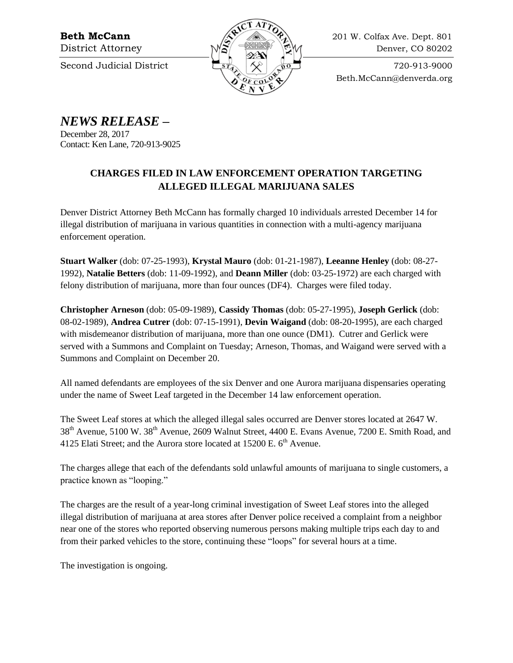

**Beth McCann**  $\langle \mathcal{S} \rangle$  **201 W. Colfax Ave. Dept. 801** District Attorney  $M\tilde{S}$   $\cong M$  Denver, CO 80202

Beth.McCann@denverda.org

*NEWS RELEASE* **–**

December 28, 2017 Contact: Ken Lane, 720-913-9025

## **CHARGES FILED IN LAW ENFORCEMENT OPERATION TARGETING ALLEGED ILLEGAL MARIJUANA SALES**

Denver District Attorney Beth McCann has formally charged 10 individuals arrested December 14 for illegal distribution of marijuana in various quantities in connection with a multi-agency marijuana enforcement operation.

**Stuart Walker** (dob: 07-25-1993), **Krystal Mauro** (dob: 01-21-1987), **Leeanne Henley** (dob: 08-27- 1992), **Natalie Betters** (dob: 11-09-1992), and **Deann Miller** (dob: 03-25-1972) are each charged with felony distribution of marijuana, more than four ounces (DF4). Charges were filed today.

**Christopher Arneson** (dob: 05-09-1989), **Cassidy Thomas** (dob: 05-27-1995), **Joseph Gerlick** (dob: 08-02-1989), **Andrea Cutrer** (dob: 07-15-1991), **Devin Waigand** (dob: 08-20-1995), are each charged with misdemeanor distribution of marijuana, more than one ounce (DM1). Cutrer and Gerlick were served with a Summons and Complaint on Tuesday; Arneson, Thomas, and Waigand were served with a Summons and Complaint on December 20.

All named defendants are employees of the six Denver and one Aurora marijuana dispensaries operating under the name of Sweet Leaf targeted in the December 14 law enforcement operation.

The Sweet Leaf stores at which the alleged illegal sales occurred are Denver stores located at 2647 W. 38<sup>th</sup> Avenue, 5100 W. 38<sup>th</sup> Avenue, 2609 Walnut Street, 4400 E. Evans Avenue, 7200 E. Smith Road, and 4125 Elati Street; and the Aurora store located at  $15200$  E.  $6<sup>th</sup>$  Avenue.

The charges allege that each of the defendants sold unlawful amounts of marijuana to single customers, a practice known as "looping."

The charges are the result of a year-long criminal investigation of Sweet Leaf stores into the alleged illegal distribution of marijuana at area stores after Denver police received a complaint from a neighbor near one of the stores who reported observing numerous persons making multiple trips each day to and from their parked vehicles to the store, continuing these "loops" for several hours at a time.

The investigation is ongoing.